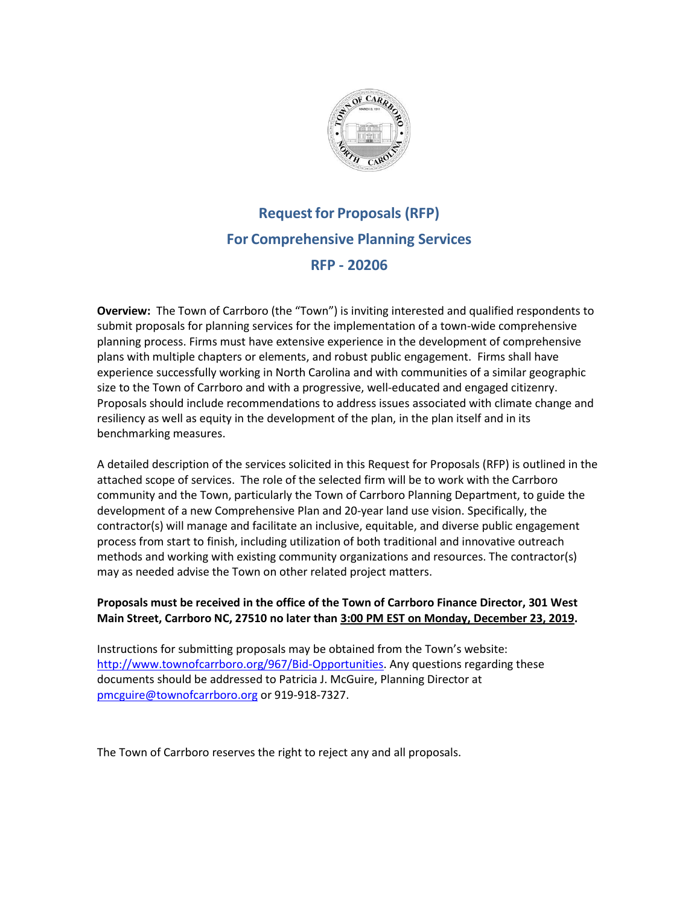

# **Requestfor Proposals (RFP) For Comprehensive Planning Services RFP - 20206**

**Overview:** The Town of Carrboro (the "Town") is inviting interested and qualified respondents to submit proposals for planning services for the implementation of a town-wide comprehensive planning process. Firms must have extensive experience in the development of comprehensive plans with multiple chapters or elements, and robust public engagement. Firms shall have experience successfully working in North Carolina and with communities of a similar geographic size to the Town of Carrboro and with a progressive, well-educated and engaged citizenry. Proposals should include recommendations to address issues associated with climate change and resiliency as well as equity in the development of the plan, in the plan itself and in its benchmarking measures.

A detailed description of the services solicited in this Request for Proposals (RFP) is outlined in the attached scope of services. The role of the selected firm will be to work with the Carrboro community and the Town, particularly the Town of Carrboro Planning Department, to guide the development of a new Comprehensive Plan and 20‐year land use vision. Specifically, the contractor(s) will manage and facilitate an inclusive, equitable, and diverse public engagement process from start to finish, including utilization of both traditional and innovative outreach methods and working with existing community organizations and resources. The contractor(s) may as needed advise the Town on other related project matters.

### **Proposals must be received in the office of the Town of Carrboro Finance Director, 301 West Main Street, Carrboro NC, 27510 no later than 3:00 PM EST on Monday, December 23, 2019.**

Instructions for submitting proposals may be obtained from the Town's website: [http://www.townofcarrboro.org/967/Bid-Opportunities.](http://www.townofcarrboro.org/967/Bid-Opportunities) Any questions regarding these documents should be addressed to Patricia J. McGuire, Planning Director at [pmcguire@townofcarrboro.org](mailto:pmcguire@townofcarrboro.org) or 919-918-7327.

The Town of Carrboro reserves the right to reject any and all proposals.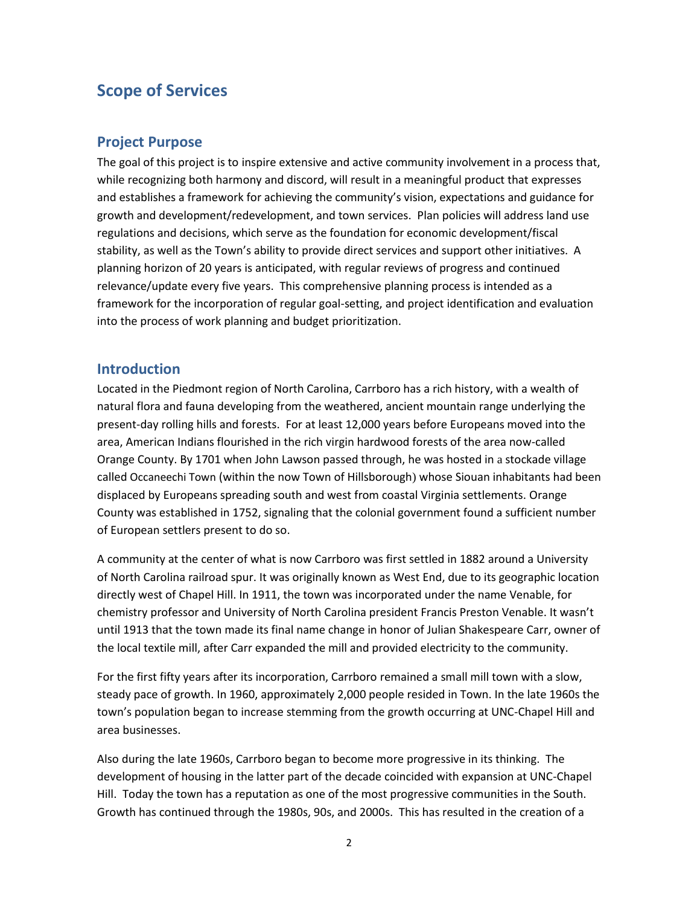# **Scope of Services**

### **Project Purpose**

The goal of this project is to inspire extensive and active community involvement in a process that, while recognizing both harmony and discord, will result in a meaningful product that expresses and establishes a framework for achieving the community's vision, expectations and guidance for growth and development/redevelopment, and town services. Plan policies will address land use regulations and decisions, which serve as the foundation for economic development/fiscal stability, as well as the Town's ability to provide direct services and support other initiatives. A planning horizon of 20 years is anticipated, with regular reviews of progress and continued relevance/update every five years. This comprehensive planning process is intended as a framework for the incorporation of regular goal-setting, and project identification and evaluation into the process of work planning and budget prioritization.

### **Introduction**

Located in the Piedmont region of North Carolina, Carrboro has a rich history, with a wealth of natural flora and fauna developing from the weathered, ancient mountain range underlying the present-day rolling hills and forests. For at least 12,000 years before Europeans moved into the area, American Indians flourished in the rich virgin hardwood forests of the area now-called Orange County. By 1701 when John Lawson passed through, he was hosted in a stockade village called Occaneechi Town (within the now Town of Hillsborough) whose Siouan inhabitants had been displaced by Europeans spreading south and west from coastal Virginia settlements. Orange County was established in 1752, signaling that the colonial government found a sufficient number of European settlers present to do so.

A community at the center of what is now Carrboro was first settled in 1882 around a University of North Carolina railroad spur. It was originally known as West End, due to its geographic location directly west of Chapel Hill. In 1911, the town was incorporated under the name Venable, for chemistry professor and University of North Carolina president Francis Preston Venable. It wasn't until 1913 that the town made its final name change in honor of Julian Shakespeare Carr, owner of the local textile mill, after Carr expanded the mill and provided electricity to the community.

For the first fifty years after its incorporation, Carrboro remained a small mill town with a slow, steady pace of growth. In 1960, approximately 2,000 people resided in Town. In the late 1960s the town's population began to increase stemming from the growth occurring at UNC-Chapel Hill and area businesses.

Also during the late 1960s, Carrboro began to become more progressive in its thinking. The development of housing in the latter part of the decade coincided with expansion at UNC-Chapel Hill. Today the town has a reputation as one of the most progressive communities in the South. Growth has continued through the 1980s, 90s, and 2000s. This has resulted in the creation of a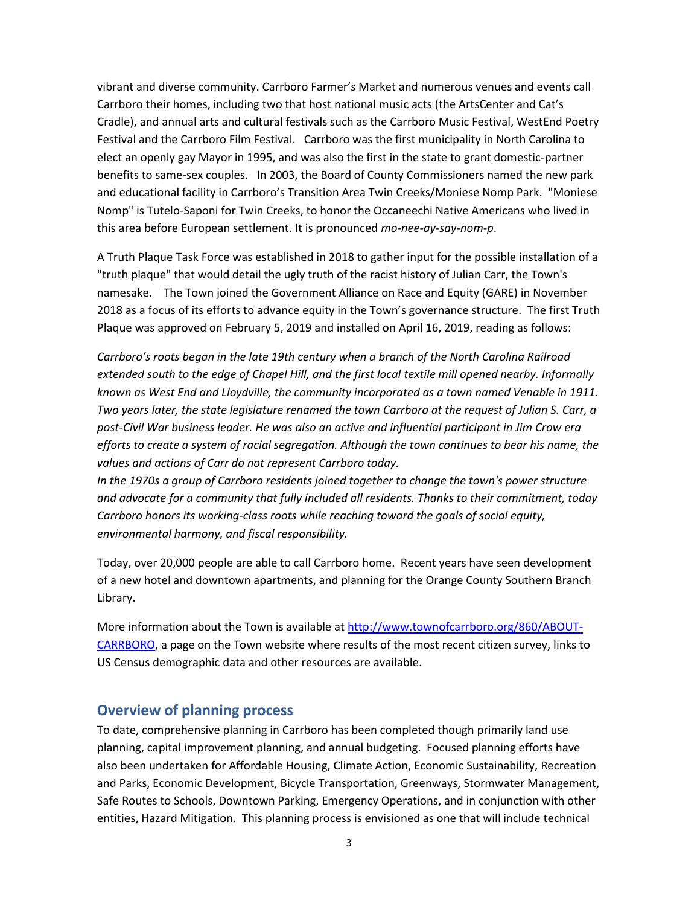vibrant and diverse community. Carrboro Farmer's Market and numerous venues and events call Carrboro their homes, including two that host national music acts (the ArtsCenter and Cat's Cradle), and annual arts and cultural festivals such as the Carrboro Music Festival, WestEnd Poetry Festival and the Carrboro Film Festival. Carrboro was the first municipality in North Carolina to elect an openly gay Mayor in 1995, and was also the first in the state to grant domestic-partner benefits to same-sex couples. In 2003, the Board of County Commissioners named the new park and educational facility in Carrboro's Transition Area Twin Creeks/Moniese Nomp Park. "Moniese Nomp" is Tutelo-Saponi for Twin Creeks, to honor the Occaneechi Native Americans who lived in this area before European settlement. It is pronounced *mo-nee-ay-say-nom-p*.

A Truth Plaque Task Force was established in 2018 to gather input for the possible installation of a "truth plaque" that would detail the ugly truth of the racist history of Julian Carr, the Town's namesake. The Town joined the Government Alliance on Race and Equity (GARE) in November 2018 as a focus of its efforts to advance equity in the Town's governance structure. The first Truth Plaque was approved on February 5, 2019 and installed on April 16, 2019, reading as follows:

*Carrboro's roots began in the late 19th century when a branch of the North Carolina Railroad extended south to the edge of Chapel Hill, and the first local textile mill opened nearby. Informally known as West End and Lloydville, the community incorporated as a town named Venable in 1911. Two years later, the state legislature renamed the town Carrboro at the request of Julian S. Carr, a post-Civil War business leader. He was also an active and influential participant in Jim Crow era efforts to create a system of racial segregation. Although the town continues to bear his name, the values and actions of Carr do not represent Carrboro today.* 

*In the 1970s a group of Carrboro residents joined together to change the town's power structure and advocate for a community that fully included all residents. Thanks to their commitment, today Carrboro honors its working-class roots while reaching toward the goals of social equity, environmental harmony, and fiscal responsibility.*

Today, over 20,000 people are able to call Carrboro home. Recent years have seen development of a new hotel and downtown apartments, and planning for the Orange County Southern Branch Library.

More information about the Town is available at [http://www.townofcarrboro.org/860/ABOUT-](http://www.townofcarrboro.org/860/ABOUT-CARRBORO)[CARRBORO,](http://www.townofcarrboro.org/860/ABOUT-CARRBORO) a page on the Town website where results of the most recent citizen survey, links to US Census demographic data and other resources are available.

### **Overview of planning process**

To date, comprehensive planning in Carrboro has been completed though primarily land use planning, capital improvement planning, and annual budgeting. Focused planning efforts have also been undertaken for Affordable Housing, Climate Action, Economic Sustainability, Recreation and Parks, Economic Development, Bicycle Transportation, Greenways, Stormwater Management, Safe Routes to Schools, Downtown Parking, Emergency Operations, and in conjunction with other entities, Hazard Mitigation. This planning process is envisioned as one that will include technical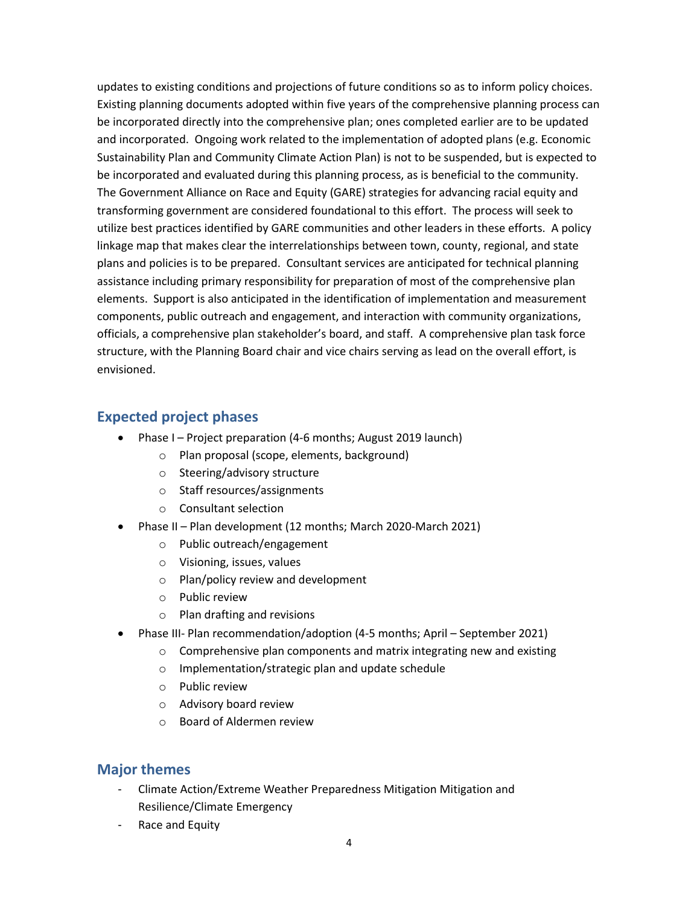updates to existing conditions and projections of future conditions so as to inform policy choices. Existing planning documents adopted within five years of the comprehensive planning process can be incorporated directly into the comprehensive plan; ones completed earlier are to be updated and incorporated. Ongoing work related to the implementation of adopted plans (e.g. Economic Sustainability Plan and Community Climate Action Plan) is not to be suspended, but is expected to be incorporated and evaluated during this planning process, as is beneficial to the community. The Government Alliance on Race and Equity (GARE) strategies for advancing racial equity and transforming government are considered foundational to this effort. The process will seek to utilize best practices identified by GARE communities and other leaders in these efforts. A policy linkage map that makes clear the interrelationships between town, county, regional, and state plans and policies is to be prepared. Consultant services are anticipated for technical planning assistance including primary responsibility for preparation of most of the comprehensive plan elements. Support is also anticipated in the identification of implementation and measurement components, public outreach and engagement, and interaction with community organizations, officials, a comprehensive plan stakeholder's board, and staff. A comprehensive plan task force structure, with the Planning Board chair and vice chairs serving as lead on the overall effort, is envisioned.

### **Expected project phases**

- Phase I Project preparation (4-6 months; August 2019 launch)
	- o Plan proposal (scope, elements, background)
	- o Steering/advisory structure
	- o Staff resources/assignments
	- o Consultant selection
- Phase II Plan development (12 months; March 2020-March 2021)
	- o Public outreach/engagement
	- o Visioning, issues, values
	- o Plan/policy review and development
	- o Public review
	- o Plan drafting and revisions
- Phase III- Plan recommendation/adoption (4-5 months; April September 2021)
	- o Comprehensive plan components and matrix integrating new and existing
	- o Implementation/strategic plan and update schedule
	- o Public review
	- o Advisory board review
	- o Board of Aldermen review

### **Major themes**

- Climate Action/Extreme Weather Preparedness Mitigation Mitigation and Resilience/Climate Emergency
- Race and Equity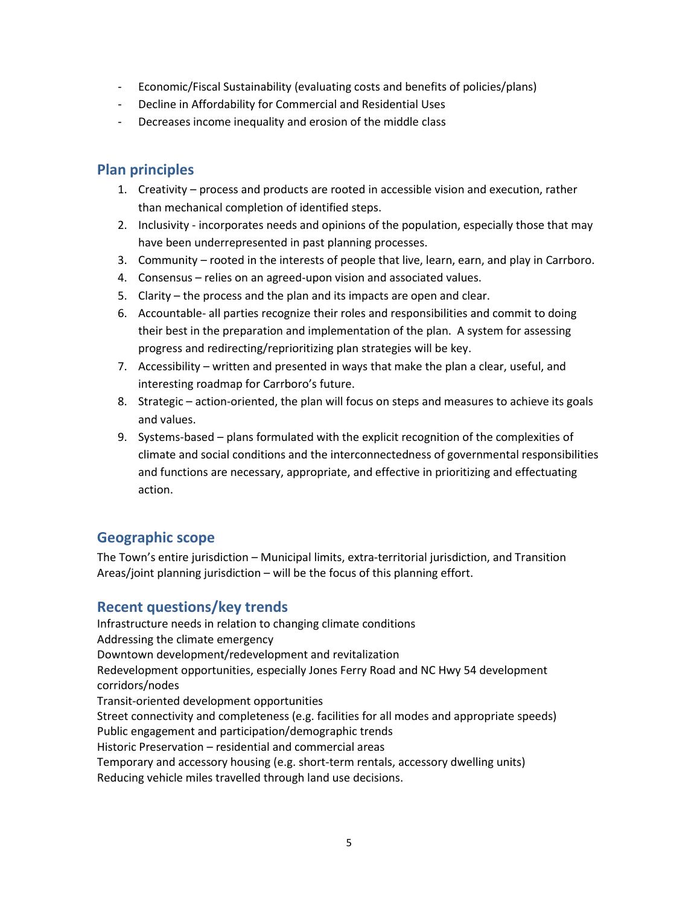- Economic/Fiscal Sustainability (evaluating costs and benefits of policies/plans)
- Decline in Affordability for Commercial and Residential Uses
- Decreases income inequality and erosion of the middle class

### **Plan principles**

- 1. Creativity process and products are rooted in accessible vision and execution, rather than mechanical completion of identified steps.
- 2. Inclusivity incorporates needs and opinions of the population, especially those that may have been underrepresented in past planning processes.
- 3. Community rooted in the interests of people that live, learn, earn, and play in Carrboro.
- 4. Consensus relies on an agreed-upon vision and associated values.
- 5. Clarity the process and the plan and its impacts are open and clear.
- 6. Accountable- all parties recognize their roles and responsibilities and commit to doing their best in the preparation and implementation of the plan. A system for assessing progress and redirecting/reprioritizing plan strategies will be key.
- 7. Accessibility written and presented in ways that make the plan a clear, useful, and interesting roadmap for Carrboro's future.
- 8. Strategic action-oriented, the plan will focus on steps and measures to achieve its goals and values.
- 9. Systems-based plans formulated with the explicit recognition of the complexities of climate and social conditions and the interconnectedness of governmental responsibilities and functions are necessary, appropriate, and effective in prioritizing and effectuating action.

### **Geographic scope**

The Town's entire jurisdiction – Municipal limits, extra-territorial jurisdiction, and Transition Areas/joint planning jurisdiction – will be the focus of this planning effort.

### **Recent questions/key trends**

Infrastructure needs in relation to changing climate conditions Addressing the climate emergency Downtown development/redevelopment and revitalization Redevelopment opportunities, especially Jones Ferry Road and NC Hwy 54 development corridors/nodes Transit-oriented development opportunities Street connectivity and completeness (e.g. facilities for all modes and appropriate speeds) Public engagement and participation/demographic trends Historic Preservation – residential and commercial areas Temporary and accessory housing (e.g. short-term rentals, accessory dwelling units) Reducing vehicle miles travelled through land use decisions.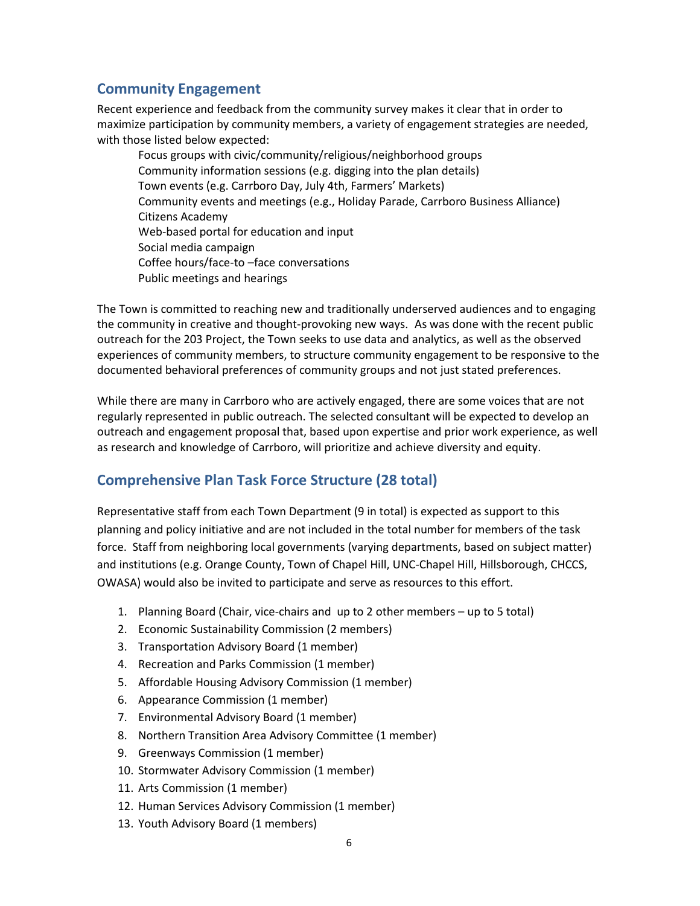### **Community Engagement**

Recent experience and feedback from the community survey makes it clear that in order to maximize participation by community members, a variety of engagement strategies are needed, with those listed below expected:

Focus groups with civic/community/religious/neighborhood groups Community information sessions (e.g. digging into the plan details) Town events (e.g. Carrboro Day, July 4th, Farmers' Markets) Community events and meetings (e.g., Holiday Parade, Carrboro Business Alliance) Citizens Academy Web-based portal for education and input Social media campaign Coffee hours/face-to –face conversations Public meetings and hearings

The Town is committed to reaching new and traditionally underserved audiences and to engaging the community in creative and thought‐provoking new ways. As was done with the recent public outreach for the 203 Project, the Town seeks to use data and analytics, as well as the observed experiences of community members, to structure community engagement to be responsive to the documented behavioral preferences of community groups and not just stated preferences.

While there are many in Carrboro who are actively engaged, there are some voices that are not regularly represented in public outreach. The selected consultant will be expected to develop an outreach and engagement proposal that, based upon expertise and prior work experience, as well as research and knowledge of Carrboro, will prioritize and achieve diversity and equity.

## **Comprehensive Plan Task Force Structure (28 total)**

Representative staff from each Town Department (9 in total) is expected as support to this planning and policy initiative and are not included in the total number for members of the task force. Staff from neighboring local governments (varying departments, based on subject matter) and institutions (e.g. Orange County, Town of Chapel Hill, UNC-Chapel Hill, Hillsborough, CHCCS, OWASA) would also be invited to participate and serve as resources to this effort.

- 1. Planning Board (Chair, vice-chairs and up to 2 other members up to 5 total)
- 2. Economic Sustainability Commission (2 members)
- 3. Transportation Advisory Board (1 member)
- 4. Recreation and Parks Commission (1 member)
- 5. Affordable Housing Advisory Commission (1 member)
- 6. Appearance Commission (1 member)
- 7. Environmental Advisory Board (1 member)
- 8. Northern Transition Area Advisory Committee (1 member)
- 9. Greenways Commission (1 member)
- 10. Stormwater Advisory Commission (1 member)
- 11. Arts Commission (1 member)
- 12. Human Services Advisory Commission (1 member)
- 13. Youth Advisory Board (1 members)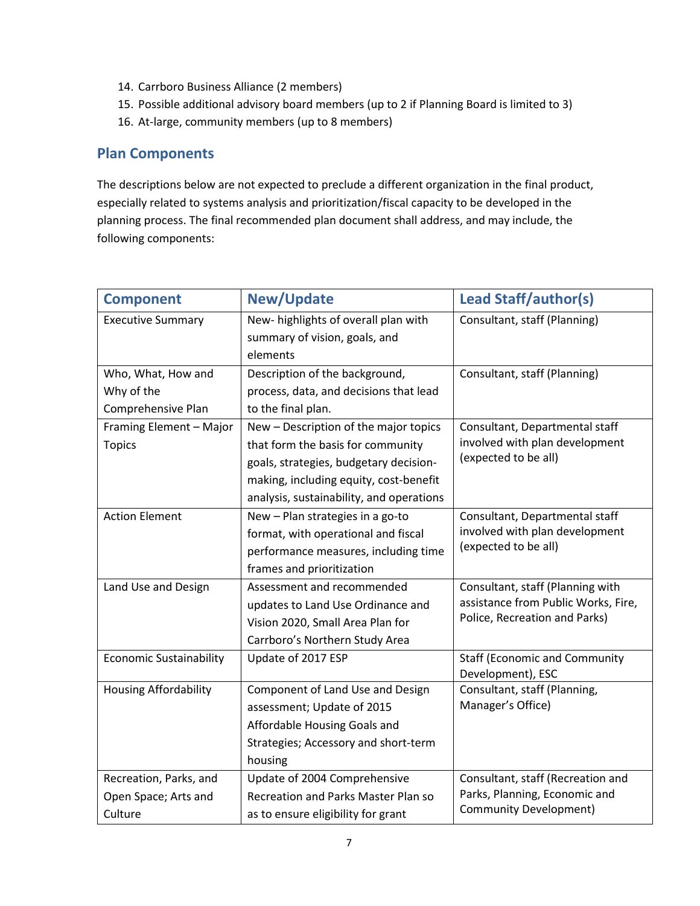- 14. Carrboro Business Alliance (2 members)
- 15. Possible additional advisory board members (up to 2 if Planning Board is limited to 3)
- 16. At-large, community members (up to 8 members)

### **Plan Components**

The descriptions below are not expected to preclude a different organization in the final product, especially related to systems analysis and prioritization/fiscal capacity to be developed in the planning process. The final recommended plan document shall address, and may include, the following components:

| <b>Component</b>               | <b>New/Update</b>                          | <b>Lead Staff/author(s)</b>          |
|--------------------------------|--------------------------------------------|--------------------------------------|
| <b>Executive Summary</b>       | New- highlights of overall plan with       | Consultant, staff (Planning)         |
|                                | summary of vision, goals, and              |                                      |
|                                | elements                                   |                                      |
| Who, What, How and             | Description of the background,             | Consultant, staff (Planning)         |
| Why of the                     | process, data, and decisions that lead     |                                      |
| Comprehensive Plan             | to the final plan.                         |                                      |
| Framing Element - Major        | New - Description of the major topics      | Consultant, Departmental staff       |
| <b>Topics</b>                  | that form the basis for community          | involved with plan development       |
|                                | goals, strategies, budgetary decision-     | (expected to be all)                 |
|                                | making, including equity, cost-benefit     |                                      |
|                                | analysis, sustainability, and operations   |                                      |
| <b>Action Element</b>          | New - Plan strategies in a go-to           | Consultant, Departmental staff       |
|                                | format, with operational and fiscal        | involved with plan development       |
|                                | performance measures, including time       | (expected to be all)                 |
|                                | frames and prioritization                  |                                      |
| Land Use and Design            | Assessment and recommended                 | Consultant, staff (Planning with     |
|                                | updates to Land Use Ordinance and          | assistance from Public Works, Fire,  |
|                                | Vision 2020, Small Area Plan for           | Police, Recreation and Parks)        |
|                                | Carrboro's Northern Study Area             |                                      |
| <b>Economic Sustainability</b> | Update of 2017 ESP                         | <b>Staff (Economic and Community</b> |
|                                |                                            | Development), ESC                    |
| <b>Housing Affordability</b>   | Component of Land Use and Design           | Consultant, staff (Planning,         |
|                                | assessment; Update of 2015                 | Manager's Office)                    |
|                                | Affordable Housing Goals and               |                                      |
|                                | Strategies; Accessory and short-term       |                                      |
|                                | housing                                    |                                      |
| Recreation, Parks, and         | Update of 2004 Comprehensive               | Consultant, staff (Recreation and    |
| Open Space; Arts and           | <b>Recreation and Parks Master Plan so</b> | Parks, Planning, Economic and        |
| Culture                        | as to ensure eligibility for grant         | <b>Community Development)</b>        |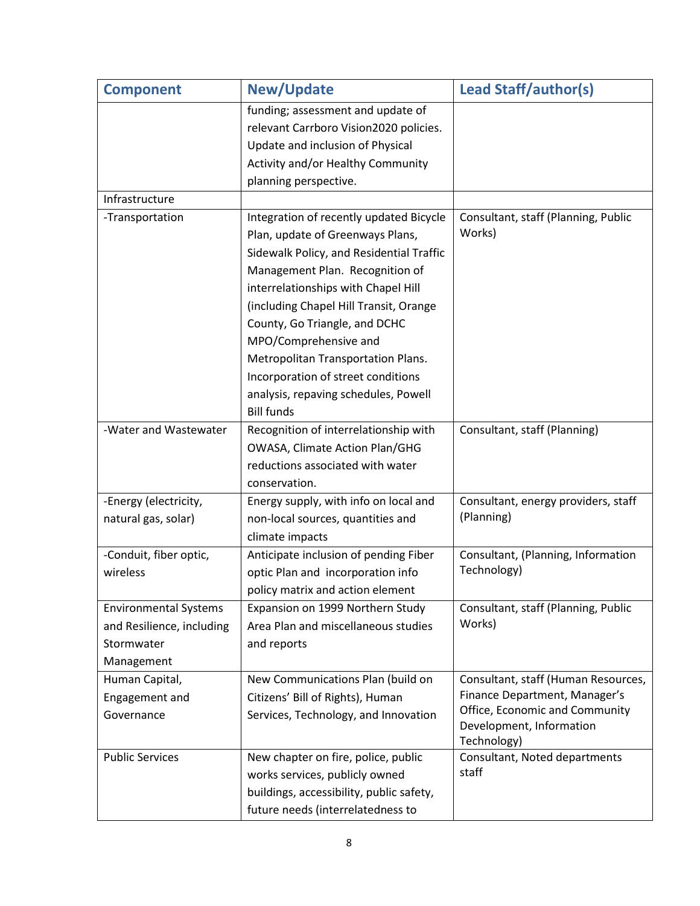| <b>Component</b>                                                                      | <b>New/Update</b>                                                                                                                                                                                                                                                                                                                                                                                                                              | <b>Lead Staff/author(s)</b>                                                                                                                       |
|---------------------------------------------------------------------------------------|------------------------------------------------------------------------------------------------------------------------------------------------------------------------------------------------------------------------------------------------------------------------------------------------------------------------------------------------------------------------------------------------------------------------------------------------|---------------------------------------------------------------------------------------------------------------------------------------------------|
|                                                                                       | funding; assessment and update of<br>relevant Carrboro Vision2020 policies.<br>Update and inclusion of Physical<br>Activity and/or Healthy Community<br>planning perspective.                                                                                                                                                                                                                                                                  |                                                                                                                                                   |
| Infrastructure                                                                        |                                                                                                                                                                                                                                                                                                                                                                                                                                                |                                                                                                                                                   |
| -Transportation                                                                       | Integration of recently updated Bicycle<br>Plan, update of Greenways Plans,<br>Sidewalk Policy, and Residential Traffic<br>Management Plan. Recognition of<br>interrelationships with Chapel Hill<br>(including Chapel Hill Transit, Orange<br>County, Go Triangle, and DCHC<br>MPO/Comprehensive and<br>Metropolitan Transportation Plans.<br>Incorporation of street conditions<br>analysis, repaving schedules, Powell<br><b>Bill funds</b> | Consultant, staff (Planning, Public<br>Works)                                                                                                     |
| -Water and Wastewater                                                                 | Recognition of interrelationship with<br>OWASA, Climate Action Plan/GHG<br>reductions associated with water<br>conservation.                                                                                                                                                                                                                                                                                                                   | Consultant, staff (Planning)                                                                                                                      |
| -Energy (electricity,<br>natural gas, solar)                                          | Energy supply, with info on local and<br>non-local sources, quantities and<br>climate impacts                                                                                                                                                                                                                                                                                                                                                  | Consultant, energy providers, staff<br>(Planning)                                                                                                 |
| -Conduit, fiber optic,<br>wireless                                                    | Anticipate inclusion of pending Fiber<br>optic Plan and incorporation info<br>policy matrix and action element                                                                                                                                                                                                                                                                                                                                 | Consultant, (Planning, Information<br>Technology)                                                                                                 |
| <b>Environmental Systems</b><br>and Resilience, including<br>Stormwater<br>Management | Expansion on 1999 Northern Study<br>Area Plan and miscellaneous studies<br>and reports                                                                                                                                                                                                                                                                                                                                                         | Consultant, staff (Planning, Public<br>Works)                                                                                                     |
| Human Capital,<br>Engagement and<br>Governance                                        | New Communications Plan (build on<br>Citizens' Bill of Rights), Human<br>Services, Technology, and Innovation                                                                                                                                                                                                                                                                                                                                  | Consultant, staff (Human Resources,<br>Finance Department, Manager's<br>Office, Economic and Community<br>Development, Information<br>Technology) |
| <b>Public Services</b>                                                                | New chapter on fire, police, public<br>works services, publicly owned<br>buildings, accessibility, public safety,<br>future needs (interrelatedness to                                                                                                                                                                                                                                                                                         | Consultant, Noted departments<br>staff                                                                                                            |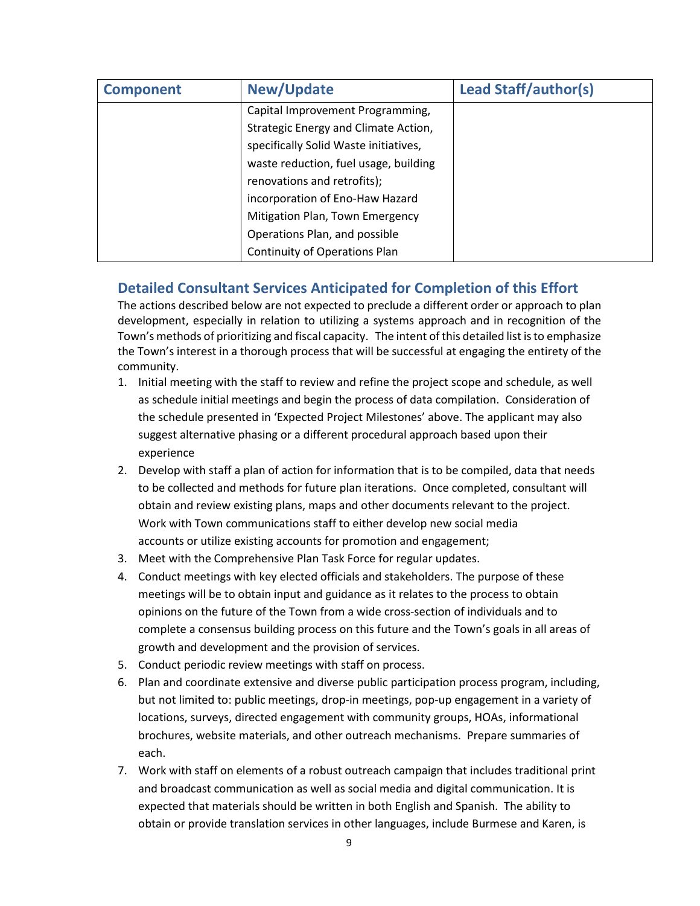| <b>Component</b> | <b>New/Update</b>                     | <b>Lead Staff/author(s)</b> |
|------------------|---------------------------------------|-----------------------------|
|                  | Capital Improvement Programming,      |                             |
|                  | Strategic Energy and Climate Action,  |                             |
|                  | specifically Solid Waste initiatives, |                             |
|                  | waste reduction, fuel usage, building |                             |
|                  | renovations and retrofits);           |                             |
|                  | incorporation of Eno-Haw Hazard       |                             |
|                  | Mitigation Plan, Town Emergency       |                             |
|                  | Operations Plan, and possible         |                             |
|                  | Continuity of Operations Plan         |                             |

### **Detailed Consultant Services Anticipated for Completion of this Effort**

The actions described below are not expected to preclude a different order or approach to plan development, especially in relation to utilizing a systems approach and in recognition of the Town's methods of prioritizing and fiscal capacity. The intent of this detailed list is to emphasize the Town's interest in a thorough process that will be successful at engaging the entirety of the community.

- 1. Initial meeting with the staff to review and refine the project scope and schedule, as well as schedule initial meetings and begin the process of data compilation. Consideration of the schedule presented in 'Expected Project Milestones' above. The applicant may also suggest alternative phasing or a different procedural approach based upon their experience
- 2. Develop with staff a plan of action for information that is to be compiled, data that needs to be collected and methods for future plan iterations. Once completed, consultant will obtain and review existing plans, maps and other documents relevant to the project. Work with Town communications staff to either develop new social media accounts or utilize existing accounts for promotion and engagement;
- 3. Meet with the Comprehensive Plan Task Force for regular updates.
- 4. Conduct meetings with key elected officials and stakeholders. The purpose of these meetings will be to obtain input and guidance as it relates to the process to obtain opinions on the future of the Town from a wide cross-section of individuals and to complete a consensus building process on this future and the Town's goals in all areas of growth and development and the provision of services.
- 5. Conduct periodic review meetings with staff on process.
- 6. Plan and coordinate extensive and diverse public participation process program, including, but not limited to: public meetings, drop-in meetings, pop-up engagement in a variety of locations, surveys, directed engagement with community groups, HOAs, informational brochures, website materials, and other outreach mechanisms. Prepare summaries of each.
- 7. Work with staff on elements of a robust outreach campaign that includes traditional print and broadcast communication as well as social media and digital communication. It is expected that materials should be written in both English and Spanish. The ability to obtain or provide translation services in other languages, include Burmese and Karen, is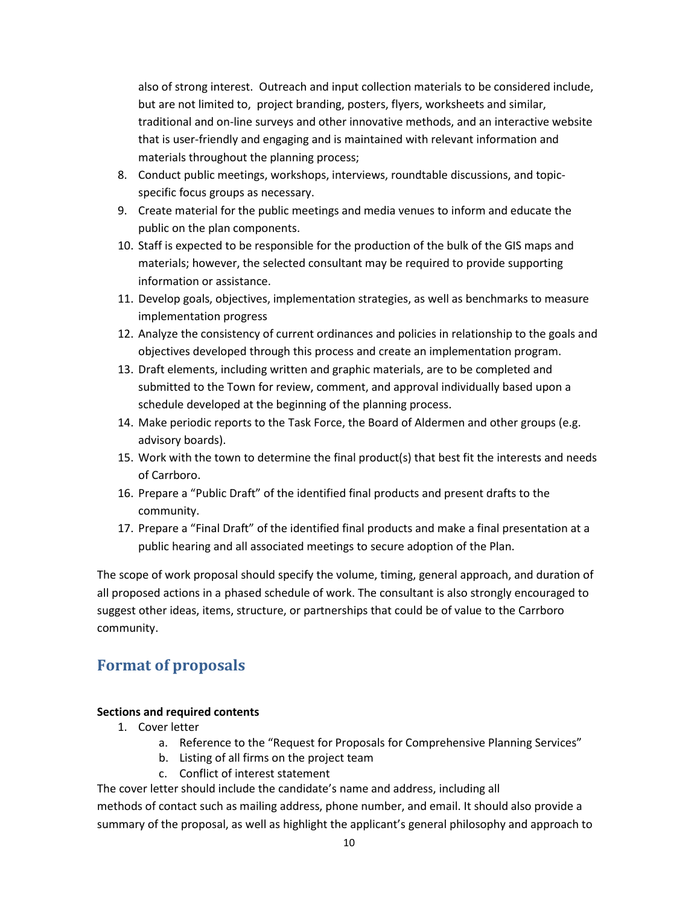also of strong interest. Outreach and input collection materials to be considered include, but are not limited to, project branding, posters, flyers, worksheets and similar, traditional and on-line surveys and other innovative methods, and an interactive website that is user-friendly and engaging and is maintained with relevant information and materials throughout the planning process;

- 8. Conduct public meetings, workshops, interviews, roundtable discussions, and topicspecific focus groups as necessary.
- 9. Create material for the public meetings and media venues to inform and educate the public on the plan components.
- 10. Staff is expected to be responsible for the production of the bulk of the GIS maps and materials; however, the selected consultant may be required to provide supporting information or assistance.
- 11. Develop goals, objectives, implementation strategies, as well as benchmarks to measure implementation progress
- 12. Analyze the consistency of current ordinances and policies in relationship to the goals and objectives developed through this process and create an implementation program.
- 13. Draft elements, including written and graphic materials, are to be completed and submitted to the Town for review, comment, and approval individually based upon a schedule developed at the beginning of the planning process.
- 14. Make periodic reports to the Task Force, the Board of Aldermen and other groups (e.g. advisory boards).
- 15. Work with the town to determine the final product(s) that best fit the interests and needs of Carrboro.
- 16. Prepare a "Public Draft" of the identified final products and present drafts to the community.
- 17. Prepare a "Final Draft" of the identified final products and make a final presentation at a public hearing and all associated meetings to secure adoption of the Plan.

The scope of work proposal should specify the volume, timing, general approach, and duration of all proposed actions in a phased schedule of work. The consultant is also strongly encouraged to suggest other ideas, items, structure, or partnerships that could be of value to the Carrboro community.

# **Format of proposals**

### **Sections and required contents**

- 1. Cover letter
	- a. Reference to the "Request for Proposals for Comprehensive Planning Services"
	- b. Listing of all firms on the project team
	- c. Conflict of interest statement

The cover letter should include the candidate's name and address, including all

methods of contact such as mailing address, phone number, and email. It should also provide a summary of the proposal, as well as highlight the applicant's general philosophy and approach to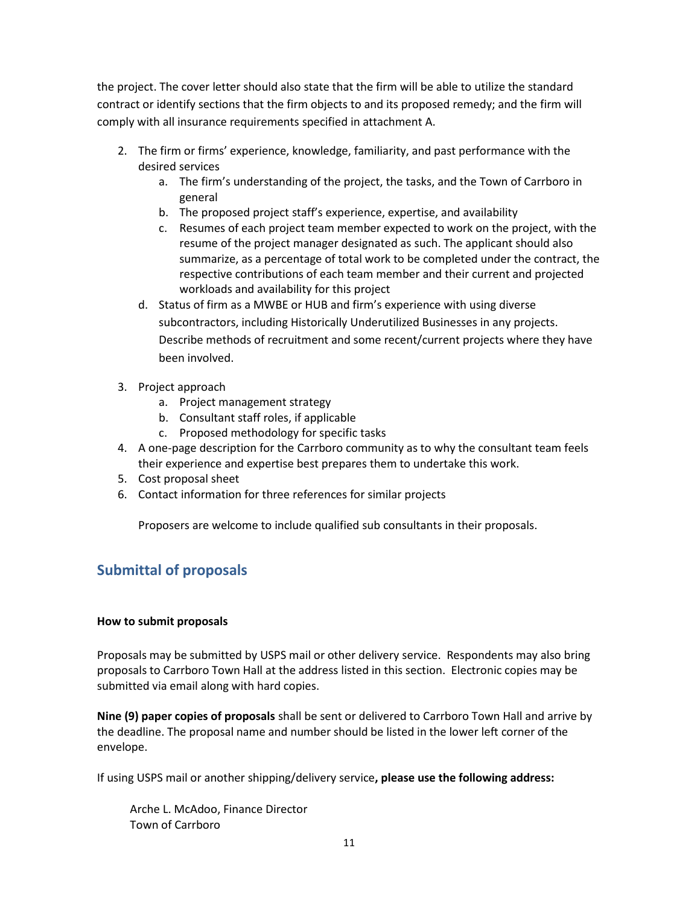the project. The cover letter should also state that the firm will be able to utilize the standard contract or identify sections that the firm objects to and its proposed remedy; and the firm will comply with all insurance requirements specified in attachment A.

- 2. The firm or firms' experience, knowledge, familiarity, and past performance with the desired services
	- a. The firm's understanding of the project, the tasks, and the Town of Carrboro in general
	- b. The proposed project staff's experience, expertise, and availability
	- c. Resumes of each project team member expected to work on the project, with the resume of the project manager designated as such. The applicant should also summarize, as a percentage of total work to be completed under the contract, the respective contributions of each team member and their current and projected workloads and availability for this project
	- d. Status of firm as a MWBE or HUB and firm's experience with using diverse subcontractors, including Historically Underutilized Businesses in any projects. Describe methods of recruitment and some recent/current projects where they have been involved.
- 3. Project approach
	- a. Project management strategy
	- b. Consultant staff roles, if applicable
	- c. Proposed methodology for specific tasks
- 4. A one‐page description for the Carrboro community as to why the consultant team feels their experience and expertise best prepares them to undertake this work.
- 5. Cost proposal sheet
- 6. Contact information for three references for similar projects

Proposers are welcome to include qualified sub consultants in their proposals.

## **Submittal of proposals**

### **How to submit proposals**

Proposals may be submitted by USPS mail or other delivery service. Respondents may also bring proposals to Carrboro Town Hall at the address listed in this section. Electronic copies may be submitted via email along with hard copies.

**Nine (9) paper copies of proposals** shall be sent or delivered to Carrboro Town Hall and arrive by the deadline. The proposal name and number should be listed in the lower left corner of the envelope.

If using USPS mail or another shipping/delivery service**, please use the following address:**

Arche L. McAdoo, Finance Director Town of Carrboro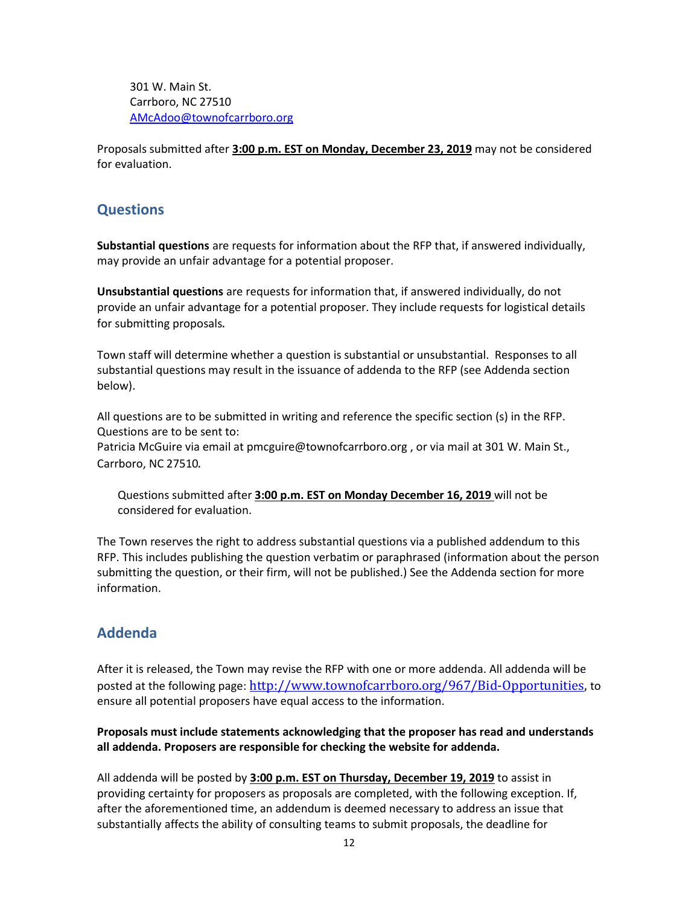301 W. Main St. Carrboro, NC 27510 [AMcAdoo@townofcarrboro.org](mailto:AMcAdoo@townofcarrboro.org)

Proposals submitted after **3:00 p.m. EST on Monday, December 23, 2019** may not be considered for evaluation.

### **Questions**

**Substantial questions** are requests for information about the RFP that, if answered individually, may provide an unfair advantage for a potential proposer.

**Unsubstantial questions** are requests for information that, if answered individually, do not provide an unfair advantage for a potential proposer. They include requests for logistical details for submitting proposals.

Town staff will determine whether a question is substantial or unsubstantial. Responses to all substantial questions may result in the issuance of addenda to the RFP (see Addenda section below).

All questions are to be submitted in writing and reference the specific section (s) in the RFP. Questions are to be sent to:

Patricia McGuire via email at [pmcguire@townofcarrboro.org](mailto:pmcguire@townofcarrboro.org) , or via mail at 301 W. Main St., Carrboro, NC 27510.

Questions submitted after **3:00 p.m. EST on Monday December 16, 2019** will not be considered for evaluation.

The Town reserves the right to address substantial questions via a published addendum to this RFP. This includes publishing the question verbatim or paraphrased (information about the person submitting the question, or their firm, will not be published.) See the Addenda section for more information.

### **Addenda**

After it is released, the Town may revise the RFP with one or more addenda. All addenda will be posted at the following page: [http://www.townofcarrboro.org/967/Bid-Opportunities,](http://www.townofcarrboro.org/967/Bid-Opportunities) to ensure all potential proposers have equal access to the information.

**Proposals must include statements acknowledging that the proposer has read and understands all addenda. Proposers are responsible for checking the website for addenda.**

All addenda will be posted by **3:00 p.m. EST on Thursday, December 19, 2019** to assist in providing certainty for proposers as proposals are completed, with the following exception. If, after the aforementioned time, an addendum is deemed necessary to address an issue that substantially affects the ability of consulting teams to submit proposals, the deadline for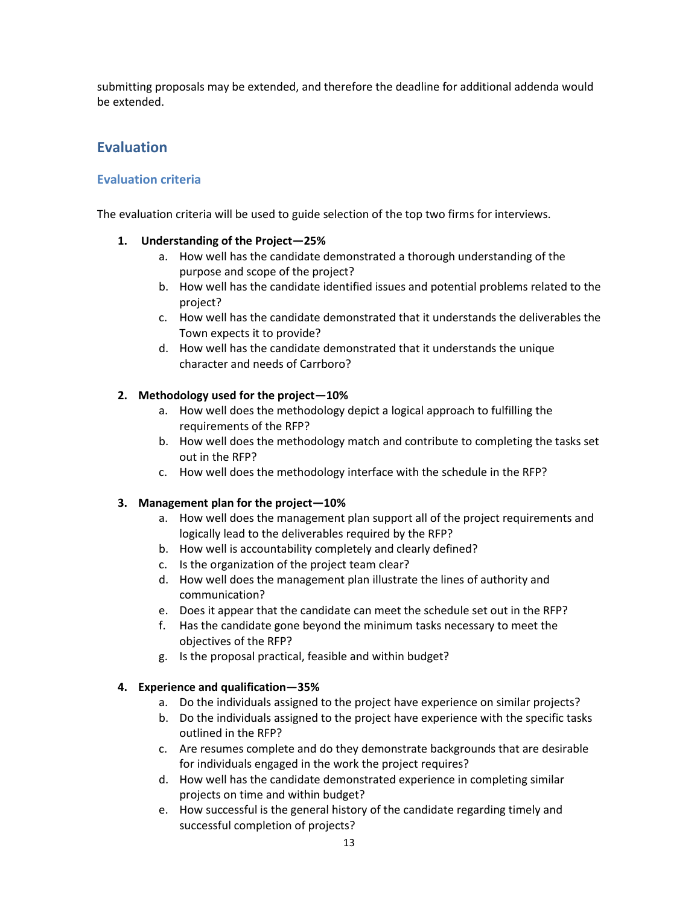submitting proposals may be extended, and therefore the deadline for additional addenda would be extended.

### **Evaluation**

### **Evaluation criteria**

The evaluation criteria will be used to guide selection of the top two firms for interviews.

### **1. Understanding of the Project—25%**

- a. How well has the candidate demonstrated a thorough understanding of the purpose and scope of the project?
- b. How well has the candidate identified issues and potential problems related to the project?
- c. How well has the candidate demonstrated that it understands the deliverables the Town expects it to provide?
- d. How well has the candidate demonstrated that it understands the unique character and needs of Carrboro?

#### **2. Methodology used for the project—10%**

- a. How well does the methodology depict a logical approach to fulfilling the requirements of the RFP?
- b. How well does the methodology match and contribute to completing the tasks set out in the RFP?
- c. How well does the methodology interface with the schedule in the RFP?

#### **3. Management plan for the project—10%**

- a. How well does the management plan support all of the project requirements and logically lead to the deliverables required by the RFP?
- b. How well is accountability completely and clearly defined?
- c. Is the organization of the project team clear?
- d. How well does the management plan illustrate the lines of authority and communication?
- e. Does it appear that the candidate can meet the schedule set out in the RFP?
- f. Has the candidate gone beyond the minimum tasks necessary to meet the objectives of the RFP?
- g. Is the proposal practical, feasible and within budget?

#### **4. Experience and qualification—35%**

- a. Do the individuals assigned to the project have experience on similar projects?
- b. Do the individuals assigned to the project have experience with the specific tasks outlined in the RFP?
- c. Are resumes complete and do they demonstrate backgrounds that are desirable for individuals engaged in the work the project requires?
- d. How well has the candidate demonstrated experience in completing similar projects on time and within budget?
- e. How successful is the general history of the candidate regarding timely and successful completion of projects?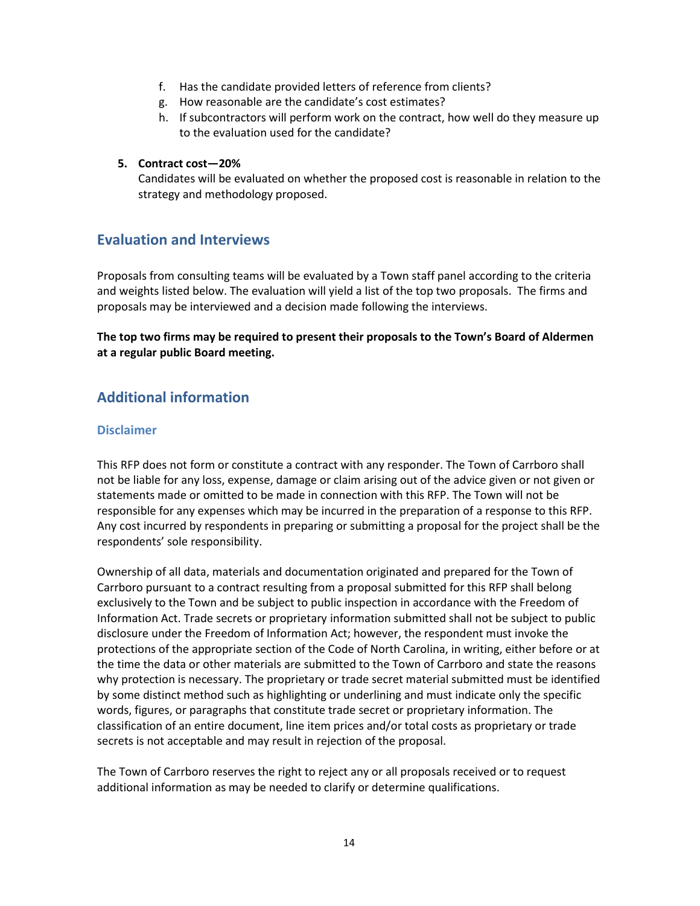- f. Has the candidate provided letters of reference from clients?
- g. How reasonable are the candidate's cost estimates?
- h. If subcontractors will perform work on the contract, how well do they measure up to the evaluation used for the candidate?

#### **5. Contract cost—20%**

Candidates will be evaluated on whether the proposed cost is reasonable in relation to the strategy and methodology proposed.

### **Evaluation and Interviews**

Proposals from consulting teams will be evaluated by a Town staff panel according to the criteria and weights listed below. The evaluation will yield a list of the top two proposals. The firms and proposals may be interviewed and a decision made following the interviews.

**The top two firms may be required to present their proposals to the Town's Board of Aldermen at a regular public Board meeting.** 

### **Additional information**

### **Disclaimer**

This RFP does not form or constitute a contract with any responder. The Town of Carrboro shall not be liable for any loss, expense, damage or claim arising out of the advice given or not given or statements made or omitted to be made in connection with this RFP. The Town will not be responsible for any expenses which may be incurred in the preparation of a response to this RFP. Any cost incurred by respondents in preparing or submitting a proposal for the project shall be the respondents' sole responsibility.

Ownership of all data, materials and documentation originated and prepared for the Town of Carrboro pursuant to a contract resulting from a proposal submitted for this RFP shall belong exclusively to the Town and be subject to public inspection in accordance with the Freedom of Information Act. Trade secrets or proprietary information submitted shall not be subject to public disclosure under the Freedom of Information Act; however, the respondent must invoke the protections of the appropriate section of the Code of North Carolina, in writing, either before or at the time the data or other materials are submitted to the Town of Carrboro and state the reasons why protection is necessary. The proprietary or trade secret material submitted must be identified by some distinct method such as highlighting or underlining and must indicate only the specific words, figures, or paragraphs that constitute trade secret or proprietary information. The classification of an entire document, line item prices and/or total costs as proprietary or trade secrets is not acceptable and may result in rejection of the proposal.

The Town of Carrboro reserves the right to reject any or all proposals received or to request additional information as may be needed to clarify or determine qualifications.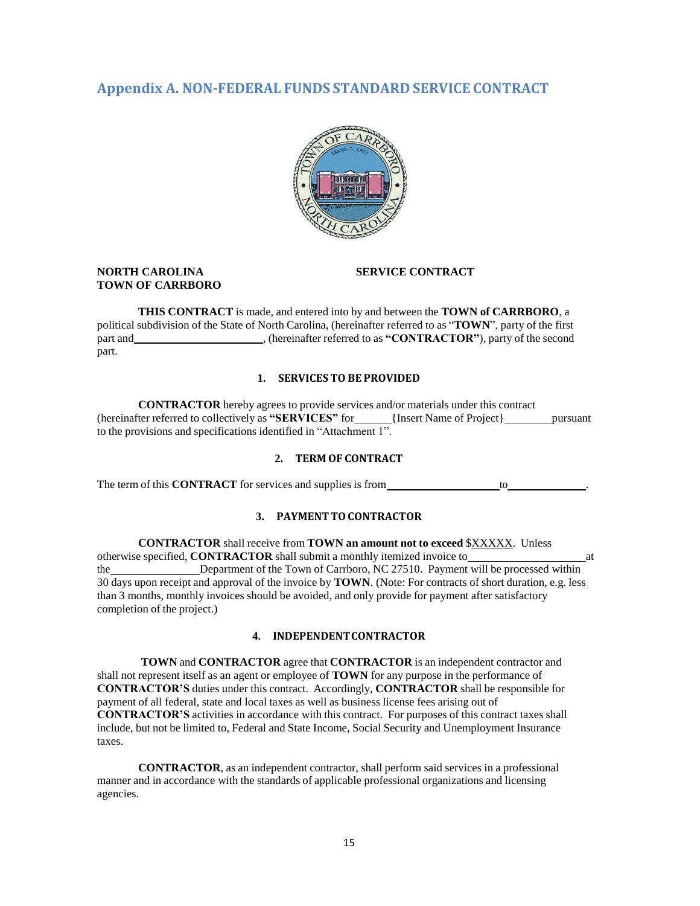### **Appendix A. NON-FEDERAL FUNDS STANDARD SERVICE CONTRACT**



#### **NORTH CAROLINA SERVICE CONTRACT TOWN OF CARRBORO**

**THIS CONTRACT** is made, and entered into by and between the **TOWN of CARRBORO**, a political subdivision of the State of North Carolina, (hereinafter referred to as "**TOWN**", party of the first part and , (hereinafter referred to as **"CONTRACTOR"**), party of the second part.

#### **1. SERVICES TO BE PROVIDED**

**CONTRACTOR** hereby agrees to provide services and/or materials under this contract (hereinafter referred to collectively as "SERVICES" for \_\_\_\_\_\_ {Insert Name of Project} pursuant to the provisions and specifications identified in "Attachment 1".

#### **2. TERM OF CONTRACT**

The term of this **CONTRACT** for services and supplies is from to .

#### **3. PAYMENT TO CONTRACTOR**

**CONTRACTOR** shall receive from **TOWN an amount not to exceed** \$XXXXX. Unless otherwise specified, **CONTRACTOR** shall submit a monthly itemized invoice to at the Department of the Town of Carrboro, NC 27510. Payment will be processed within 30 days upon receipt and approval of the invoice by **TOWN**. (Note: For contracts of short duration, e.g. less than 3 months, monthly invoices should be avoided, and only provide for payment after satisfactory completion of the project.)

#### **4. INDEPENDENTCONTRACTOR**

**TOWN** and **CONTRACTOR** agree that **CONTRACTOR** is an independent contractor and shall not represent itself as an agent or employee of **TOWN** for any purpose in the performance of **CONTRACTOR'S** duties under this contract. Accordingly, **CONTRACTOR** shall be responsible for payment of all federal, state and local taxes as well as business license fees arising out of **CONTRACTOR'S** activities in accordance with this contract. For purposes of this contract taxes shall include, but not be limited to, Federal and State Income, Social Security and Unemployment Insurance taxes.

**CONTRACTOR**, as an independent contractor, shall perform said services in a professional manner and in accordance with the standards of applicable professional organizations and licensing agencies.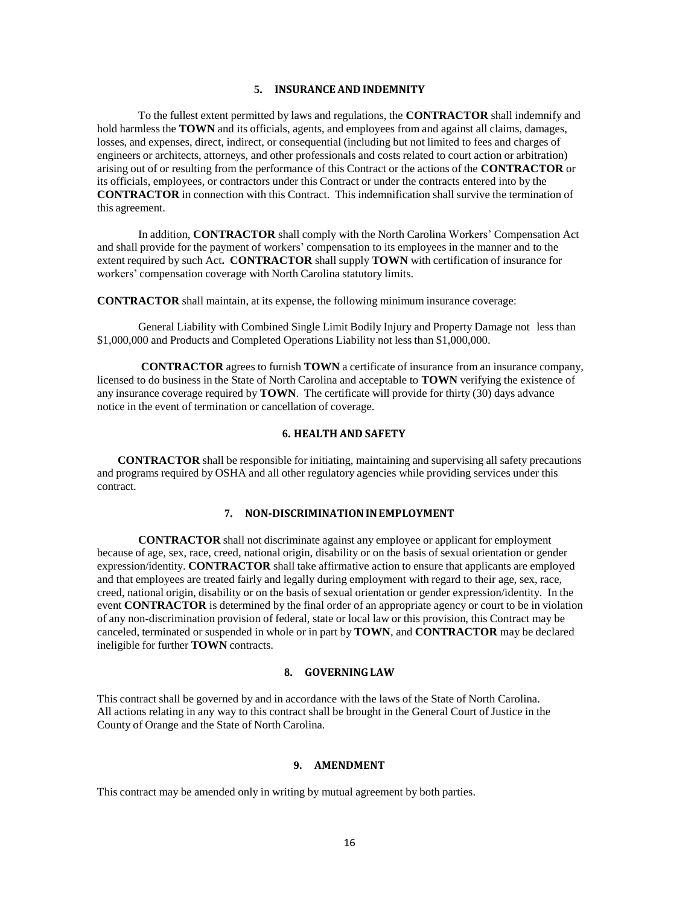#### **5. INSURANCEAND INDEMNITY**

To the fullest extent permitted by laws and regulations, the **CONTRACTOR** shall indemnify and hold harmless the **TOWN** and its officials, agents, and employees from and against all claims, damages, losses, and expenses, direct, indirect, or consequential (including but not limited to fees and charges of engineers or architects, attorneys, and other professionals and costs related to court action or arbitration) arising out of or resulting from the performance of this Contract or the actions of the **CONTRACTOR** or its officials, employees, or contractors under this Contract or under the contracts entered into by the **CONTRACTOR** in connection with this Contract. This indemnification shall survive the termination of this agreement.

In addition, **CONTRACTOR** shall comply with the North Carolina Workers' Compensation Act and shall provide for the payment of workers' compensation to its employees in the manner and to the extent required by such Act**. CONTRACTOR** shall supply **TOWN** with certification of insurance for workers' compensation coverage with North Carolina statutory limits.

**CONTRACTOR** shall maintain, at its expense, the following minimum insurance coverage:

General Liability with Combined Single Limit Bodily Injury and Property Damage not less than \$1,000,000 and Products and Completed Operations Liability not less than \$1,000,000.

**CONTRACTOR** agrees to furnish **TOWN** a certificate of insurance from an insurance company, licensed to do business in the State of North Carolina and acceptable to **TOWN** verifying the existence of any insurance coverage required by **TOWN**. The certificate will provide for thirty (30) days advance notice in the event of termination or cancellation of coverage.

#### **6. HEALTH AND SAFETY**

**CONTRACTOR** shall be responsible for initiating, maintaining and supervising all safety precautions and programs required by OSHA and all other regulatory agencies while providing services under this contract.

#### **7. NON-DISCRIMINATIONINEMPLOYMENT**

**CONTRACTOR** shall not discriminate against any employee or applicant for employment because of age, sex, race, creed, national origin, disability or on the basis of sexual orientation or gender expression/identity. **CONTRACTOR** shall take affirmative action to ensure that applicants are employed and that employees are treated fairly and legally during employment with regard to their age, sex, race, creed, national origin, disability or on the basis of sexual orientation or gender expression/identity. In the event **CONTRACTOR** is determined by the final order of an appropriate agency or court to be in violation of any non-discrimination provision of federal, state or local law or this provision, this Contract may be canceled, terminated or suspended in whole or in part by **TOWN**, and **CONTRACTOR** may be declared ineligible for further **TOWN** contracts.

#### **8. GOVERNINGLAW**

This contract shall be governed by and in accordance with the laws of the State of North Carolina. All actions relating in any way to this contract shall be brought in the General Court of Justice in the County of Orange and the State of North Carolina.

#### **9. AMENDMENT**

This contract may be amended only in writing by mutual agreement by both parties.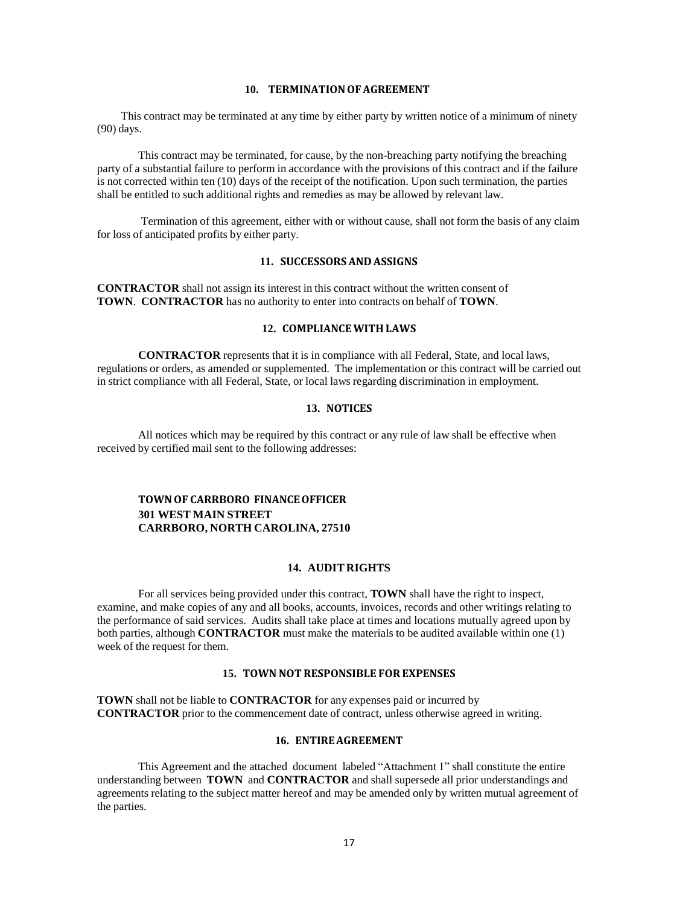#### 10. TERMINATION OF AGREEMENT

This contract may be terminated at any time by either party by written notice of a minimum of ninety (90) days.

This contract may be terminated, for cause, by the non-breaching party notifying the breaching party of a substantial failure to perform in accordance with the provisions of this contract and if the failure is not corrected within ten (10) days of the receipt of the notification. Upon such termination, the parties shall be entitled to such additional rights and remedies as may be allowed by relevant law.

Termination of this agreement, either with or without cause, shall not form the basis of any claim for loss of anticipated profits by either party.

#### **11. SUCCESSORSAND ASSIGNS**

**CONTRACTOR** shall not assign its interest in this contract without the written consent of **TOWN**. **CONTRACTOR** has no authority to enter into contracts on behalf of **TOWN**.

#### **12. COMPLIANCEWITH LAWS**

**CONTRACTOR** represents that it is in compliance with all Federal, State, and local laws, regulations or orders, as amended or supplemented. The implementation or this contract will be carried out in strict compliance with all Federal, State, or local laws regarding discrimination in employment.

#### **13. NOTICES**

All notices which may be required by this contract or any rule of law shall be effective when received by certified mail sent to the following addresses:

#### **TOWNOF CARRBORO FINANCEOFFICER 301 WEST MAIN STREET CARRBORO, NORTH CAROLINA, 27510**

#### **14. AUDIT RIGHTS**

For all services being provided under this contract, **TOWN** shall have the right to inspect, examine, and make copies of any and all books, accounts, invoices, records and other writings relating to the performance of said services. Audits shall take place at times and locations mutually agreed upon by both parties, although **CONTRACTOR** must make the materials to be audited available within one (1) week of the request for them.

#### **15. TOWN NOT RESPONSIBLE FOR EXPENSES**

**TOWN** shall not be liable to **CONTRACTOR** for any expenses paid or incurred by **CONTRACTOR** prior to the commencement date of contract, unless otherwise agreed in writing.

#### **16. ENTIREAGREEMENT**

This Agreement and the attached document labeled "Attachment 1" shall constitute the entire understanding between **TOWN** and **CONTRACTOR** and shall supersede all prior understandings and agreements relating to the subject matter hereof and may be amended only by written mutual agreement of the parties.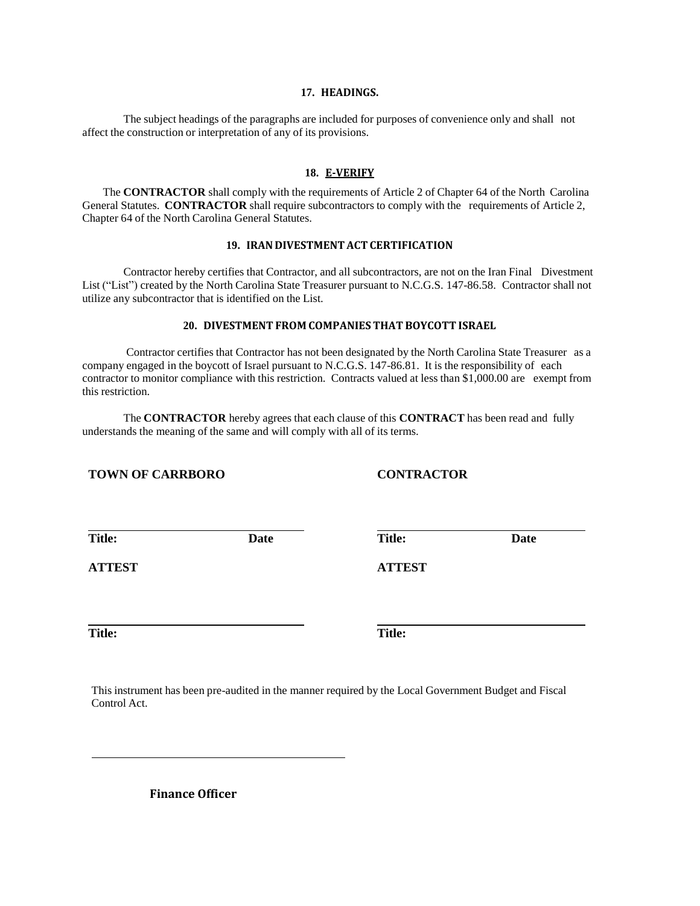#### **17. HEADINGS.**

The subject headings of the paragraphs are included for purposes of convenience only and shall not affect the construction or interpretation of any of its provisions.

#### **18. E-VERIFY**

The **CONTRACTOR** shall comply with the requirements of Article 2 of Chapter 64 of the North Carolina General Statutes. **CONTRACTOR** shall require subcontractors to comply with the requirements of Article 2, Chapter 64 of the North Carolina General Statutes.

#### **19. IRAN DIVESTMENT ACT CERTIFICATION**

Contractor hereby certifies that Contractor, and all subcontractors, are not on the Iran Final Divestment List ("List") created by the North Carolina State Treasurer pursuant to N.C.G.S. 147-86.58. Contractor shall not utilize any subcontractor that is identified on the List.

#### **20. DIVESTMENT FROM COMPANIES THAT BOYCOTT ISRAEL**

Contractor certifies that Contractor has not been designated by the North Carolina State Treasurer as a company engaged in the boycott of Israel pursuant to N.C.G.S. 147-86.81. It is the responsibility of each contractor to monitor compliance with this restriction. Contracts valued at less than \$1,000.00 are exempt from this restriction.

The **CONTRACTOR** hereby agrees that each clause of this **CONTRACT** has been read and fully understands the meaning of the same and will comply with all of its terms.

#### **TOWN OF CARRBORO CONTRACTOR**

**Date**

**Title:**

**Date Title:**

**ATTEST**

**Title: Title:**

**ATTEST**

This instrument has been pre-audited in the manner required by the Local Government Budget and Fiscal Control Act.

**Finance Officer**